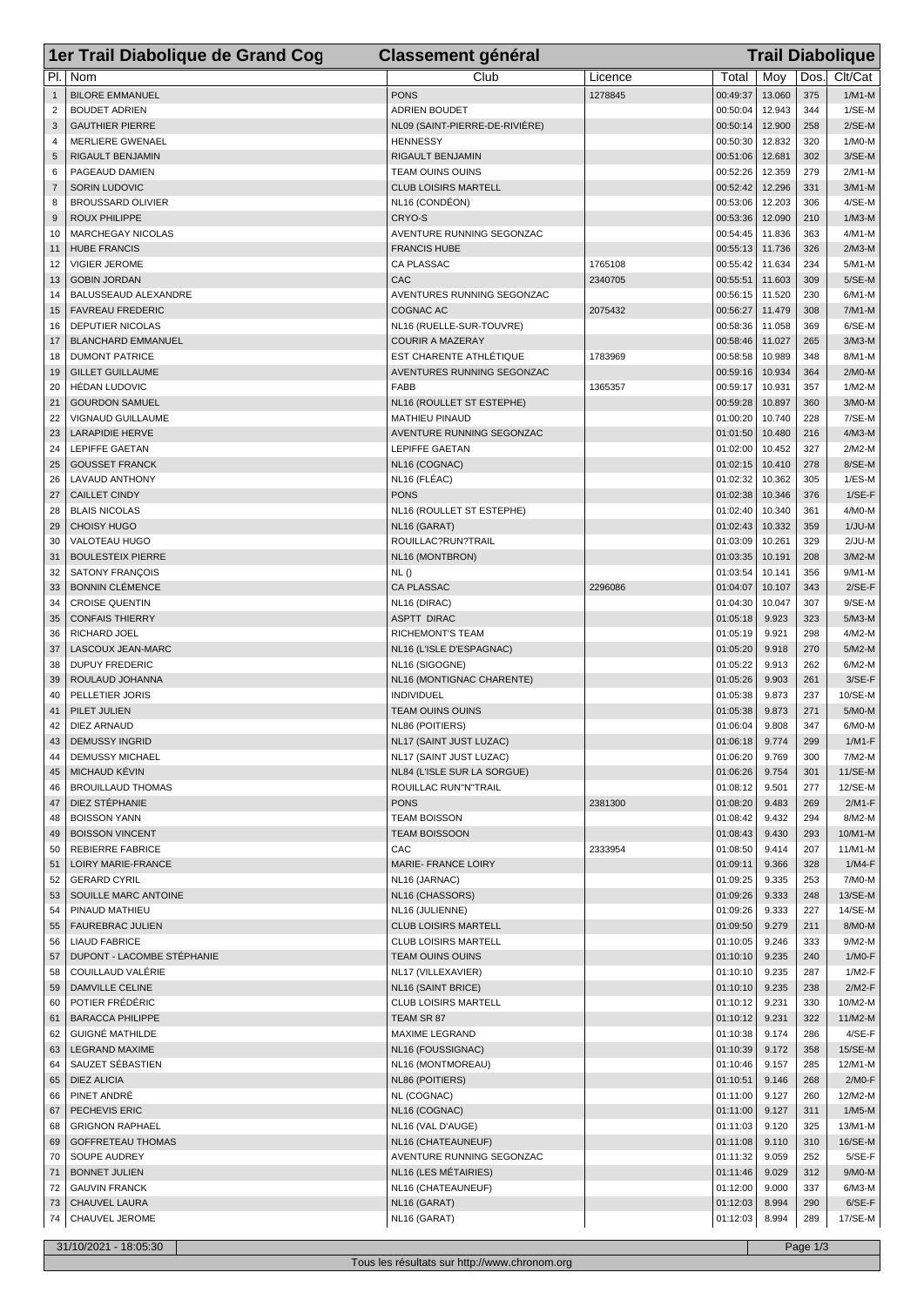|                     | 1er Trail Diabolique de Grand Cog                    | <b>Classement général</b>                           |         |                      | <b>Trail Diabolique</b> |            |                      |  |  |
|---------------------|------------------------------------------------------|-----------------------------------------------------|---------|----------------------|-------------------------|------------|----------------------|--|--|
| PI.                 | Nom                                                  | Club                                                | Licence | Total                | Moy                     | Dos.       | Clt/Cat              |  |  |
| $\mathbf{1}$        | <b>BILORE EMMANUEL</b>                               | <b>PONS</b>                                         | 1278845 | 00:49:37             | 13.060                  | 375        | $1/M1-M$             |  |  |
| $\overline{c}$      | <b>BOUDET ADRIEN</b>                                 | <b>ADRIEN BOUDET</b>                                |         | 00:50:04             | 12.943                  | 344        | $1/SE-M$             |  |  |
| 3                   | <b>GAUTHIER PIERRE</b>                               | NL09 (SAINT-PIERRE-DE-RIVIÈRE)<br><b>HENNESSY</b>   |         | 00:50:14             | 12.900                  | 258        | $2/SE-M$             |  |  |
| $\overline{4}$<br>5 | <b>MERLIERE GWENAEL</b><br>RIGAULT BENJAMIN          | RIGAULT BENJAMIN                                    |         | 00:50:30<br>00:51:06 | 12.832<br>12.681        | 320<br>302 | $1/MO-M$<br>$3/SE-M$ |  |  |
| 6                   | PAGEAUD DAMIEN                                       | <b>TEAM OUINS OUINS</b>                             |         | 00:52:26             | 12.359                  | 279        | 2/M1-M               |  |  |
| $\overline{7}$      | <b>SORIN LUDOVIC</b>                                 | <b>CLUB LOISIRS MARTELL</b>                         |         | 00:52:42             | 12.296                  | 331        | $3/M1-M$             |  |  |
| 8                   | <b>BROUSSARD OLIVIER</b>                             | NL16 (CONDÉON)                                      |         | 00:53:06             | 12.203                  | 306        | 4/SE-M               |  |  |
| 9                   | <b>ROUX PHILIPPE</b>                                 | CRYO-S<br>AVENTURE RUNNING SEGONZAC                 |         | 00:53:36             | 12.090                  | 210        | $1/M3-M$             |  |  |
| 10<br>11            | <b>MARCHEGAY NICOLAS</b><br><b>HUBE FRANCIS</b>      | <b>FRANCIS HUBE</b>                                 |         | 00:54:45<br>00:55:13 | 11.836<br>11.736        | 363<br>326 | 4/M1-M<br>$2/M3-M$   |  |  |
| 12                  | <b>VIGIER JEROME</b>                                 | <b>CA PLASSAC</b>                                   | 1765108 | 00:55:42             | 11.634                  | 234        | 5/M1-M               |  |  |
| 13                  | <b>GOBIN JORDAN</b>                                  | CAC                                                 | 2340705 | 00:55:51             | 11.603                  | 309        | $5/SE-M$             |  |  |
| 14                  | BALUSSEAUD ALEXANDRE                                 | AVENTURES RUNNING SEGONZAC                          |         | 00:56:15             | 11.520                  | 230        | 6/M1-M               |  |  |
| 15                  | <b>FAVREAU FREDERIC</b>                              | <b>COGNAC AC</b>                                    | 2075432 | 00:56:27             | 11.479                  | 308        | $7/M1-M$             |  |  |
| 16<br>17            | <b>DEPUTIER NICOLAS</b><br><b>BLANCHARD EMMANUEL</b> | NL16 (RUELLE-SUR-TOUVRE)<br><b>COURIR A MAZERAY</b> |         | 00:58:36<br>00:58:46 | 11.058<br>11.027        | 369<br>265 | 6/SE-M<br>3/M3-M     |  |  |
| 18                  | <b>DUMONT PATRICE</b>                                | EST CHARENTE ATHLÉTIQUE                             | 1783969 | 00:58:58             | 10.989                  | 348        | 8/M1-M               |  |  |
| 19                  | <b>GILLET GUILLAUME</b>                              | AVENTURES RUNNING SEGONZAC                          |         | 00:59:16             | 10.934                  | 364        | $2/M0-M$             |  |  |
| 20                  | <b>HÉDAN LUDOVIC</b>                                 | FABB                                                | 1365357 | 00:59:17             | 10.931                  | 357        | $1/M2-M$             |  |  |
| 21                  | <b>GOURDON SAMUEL</b>                                | NL16 (ROULLET ST ESTEPHE)                           |         | 00:59:28             | 10.897                  | 360        | $3/M0-M$             |  |  |
| 22                  | VIGNAUD GUILLAUME                                    | <b>MATHIEU PINAUD</b>                               |         | 01:00:20             | 10.740                  | 228        | 7/SE-M               |  |  |
| 23<br>24            | <b>LARAPIDIE HERVE</b><br><b>LEPIFFE GAETAN</b>      | AVENTURE RUNNING SEGONZAC<br><b>LEPIFFE GAETAN</b>  |         | 01:01:50<br>01:02:00 | 10.480<br>10.452        | 216<br>327 | 4/M3-M<br>$2/M2-M$   |  |  |
| 25                  | <b>GOUSSET FRANCK</b>                                | NL16 (COGNAC)                                       |         | 01:02:15             | 10.410                  | 278        | 8/SE-M               |  |  |
| 26                  | LAVAUD ANTHONY                                       | NL16 (FLÉAC)                                        |         | 01:02:32             | 10.362                  | 305        | $1/ES-M$             |  |  |
| 27                  | <b>CAILLET CINDY</b>                                 | <b>PONS</b>                                         |         | 01:02:38             | 10.346                  | 376        | $1/SE-F$             |  |  |
| 28                  | <b>BLAIS NICOLAS</b>                                 | NL16 (ROULLET ST ESTEPHE)                           |         | 01:02:40             | 10.340                  | 361        | 4/M0-M               |  |  |
| 29                  | <b>CHOISY HUGO</b>                                   | NL16 (GARAT)                                        |         | 01:02:43             | 10.332                  | 359        | $1/JU-M$             |  |  |
| 30<br>31            | VALOTEAU HUGO<br><b>BOULESTEIX PIERRE</b>            | ROUILLAC?RUN?TRAIL<br>NL16 (MONTBRON)               |         | 01:03:09<br>01:03:35 | 10.261<br>10.191        | 329<br>208 | $2/JU-M$<br>$3/M2-M$ |  |  |
| 32                  | <b>SATONY FRANÇOIS</b>                               | NL()                                                |         | 01:03:54             | 10.141                  | 356        | 9/M1-M               |  |  |
| 33                  | <b>BONNIN CLÉMENCE</b>                               | <b>CA PLASSAC</b>                                   | 2296086 | 01:04:07             | 10.107                  | 343        | $2/SE-F$             |  |  |
| 34                  | <b>CROISE QUENTIN</b>                                | NL16 (DIRAC)                                        |         | 01:04:30             | 10.047                  | 307        | 9/SE-M               |  |  |
| 35                  | <b>CONFAIS THIERRY</b>                               | <b>ASPTT DIRAC</b>                                  |         | 01:05:18             | 9.923                   | 323        | $5/M3-M$             |  |  |
| 36                  | RICHARD JOEL                                         | RICHEMONT'S TEAM                                    |         | 01:05:19             | 9.921                   | 298        | 4/M2-M               |  |  |
| 37<br>38            | LASCOUX JEAN-MARC<br><b>DUPUY FREDERIC</b>           | NL16 (L'ISLE D'ESPAGNAC)<br>NL16 (SIGOGNE)          |         | 01:05:20<br>01:05:22 | 9.918<br>9.913          | 270<br>262 | 5/M2-M<br>6/M2-M     |  |  |
| 39                  | ROULAUD JOHANNA                                      | NL16 (MONTIGNAC CHARENTE)                           |         | 01:05:26             | 9.903                   | 261        | $3/SE-F$             |  |  |
| 40                  | PELLETIER JORIS                                      | INDIVIDUEL                                          |         | 01:05:38             | 9.873                   | 237        | 10/SE-M              |  |  |
| 41                  | PILET JULIEN                                         | TEAM OUINS OUINS                                    |         | 01:05:38             | 9.873                   | 271        | 5/M0-M               |  |  |
| 42                  | DIEZ ARNAUD                                          | NL86 (POITIERS)                                     |         | 01:06:04             | 9.808                   | 347        | $6/M0-M$             |  |  |
| 43<br>44            | <b>DEMUSSY INGRID</b><br><b>DEMUSSY MICHAEL</b>      | NL17 (SAINT JUST LUZAC)<br>NL17 (SAINT JUST LUZAC)  |         | 01:06:18<br>01:06:20 | 9.774<br>9.769          | 299<br>300 | $1/M1-F$<br>7/M2-M   |  |  |
| 45                  | MICHAUD KÉVIN                                        | NL84 (L'ISLE SUR LA SORGUE)                         |         | 01:06:26             | 9.754                   | 301        | 11/SE-M              |  |  |
| 46                  | <b>BROUILLAUD THOMAS</b>                             | ROUILLAC RUN"N"TRAIL                                |         | 01:08:12             | 9.501                   | 277        | 12/SE-M              |  |  |
| 47                  | DIEZ STÉPHANIE                                       | <b>PONS</b>                                         | 2381300 | 01:08:20             | 9.483                   | 269        | $2/M1-F$             |  |  |
| 48                  | <b>BOISSON YANN</b>                                  | <b>TEAM BOISSON</b>                                 |         | 01:08:42             | 9.432                   | 294        | 8/M2-M               |  |  |
| 49                  | <b>BOISSON VINCENT</b>                               | <b>TEAM BOISSOON</b>                                |         | 01:08:43             | 9.430                   | 293        | 10/M1-M              |  |  |
| 50<br>51            | REBIERRE FABRICE<br>LOIRY MARIE-FRANCE               | CAC<br>MARIE- FRANCE LOIRY                          | 2333954 | 01:08:50<br>01:09:11 | 9.414<br>9.366          | 207<br>328 | 11/M1-M<br>$1/M4-F$  |  |  |
| 52                  | <b>GERARD CYRIL</b>                                  | NL16 (JARNAC)                                       |         | 01:09:25             | 9.335                   | 253        | 7/M0-M               |  |  |
| 53                  | SOUILLE MARC ANTOINE                                 | NL16 (CHASSORS)                                     |         | 01:09:26             | 9.333                   | 248        | 13/SE-M              |  |  |
| 54                  | PINAUD MATHIEU                                       | NL16 (JULIENNE)                                     |         | 01:09:26             | 9.333                   | 227        | 14/SE-M              |  |  |
| 55                  | <b>FAUREBRAC JULIEN</b>                              | <b>CLUB LOISIRS MARTELL</b>                         |         | 01:09:50             | 9.279                   | 211        | 8/M0-M               |  |  |
| 56<br>57            | <b>LIAUD FABRICE</b><br>DUPONT - LACOMBE STÉPHANIE   | <b>CLUB LOISIRS MARTELL</b><br>TEAM OUINS OUINS     |         | 01:10:05<br>01:10:10 | 9.246<br>9.235          | 333<br>240 | 9/M2-M<br>$1/MO-F$   |  |  |
| 58                  | COUILLAUD VALÉRIE                                    | NL17 (VILLEXAVIER)                                  |         | 01:10:10             | 9.235                   | 287        | $1/M2-F$             |  |  |
| 59                  | <b>DAMVILLE CELINE</b>                               | NL16 (SAINT BRICE)                                  |         | 01:10:10             | 9.235                   | 238        | $2/M2-F$             |  |  |
| 60                  | POTIER FRÉDÉRIC                                      | <b>CLUB LOISIRS MARTELL</b>                         |         | 01:10:12             | 9.231                   | 330        | 10/M2-M              |  |  |
| 61                  | <b>BARACCA PHILIPPE</b>                              | TEAM SR 87                                          |         | 01:10:12             | 9.231                   | 322        | 11/M2-M              |  |  |
| 62                  | <b>GUIGNÉ MATHILDE</b>                               | MAXIME LEGRAND                                      |         | 01:10:38             | 9.174                   | 286        | $4/SE-F$             |  |  |
| 63<br>64            | <b>LEGRAND MAXIME</b><br>SAUZET SÉBASTIEN            | NL16 (FOUSSIGNAC)<br>NL16 (MONTMOREAU)              |         | 01:10:39<br>01:10:46 | 9.172<br>9.157          | 358<br>285 | 15/SE-M<br>12/M1-M   |  |  |
| 65                  | <b>DIEZ ALICIA</b>                                   | NL86 (POITIERS)                                     |         | 01:10:51             | 9.146                   | 268        | $2/M0-F$             |  |  |
| 66                  | PINET ANDRÉ                                          | NL (COGNAC)                                         |         | 01:11:00             | 9.127                   | 260        | 12/M2-M              |  |  |
| 67                  | PECHEVIS ERIC                                        | NL16 (COGNAC)                                       |         | 01:11:00             | 9.127                   | 311        | $1/M5-M$             |  |  |
| 68                  | <b>GRIGNON RAPHAEL</b>                               | NL16 (VAL D'AUGE)                                   |         | 01:11:03             | 9.120                   | 325        | 13/M1-M              |  |  |
| 69                  | <b>GOFFRETEAU THOMAS</b>                             | NL16 (CHATEAUNEUF)                                  |         | 01:11:08             | 9.110                   | 310        | 16/SE-M              |  |  |
| 70<br>71            | SOUPE AUDREY<br><b>BONNET JULIEN</b>                 | AVENTURE RUNNING SEGONZAC<br>NL16 (LES MÉTAIRIES)   |         | 01:11:32<br>01:11:46 | 9.059<br>9.029          | 252<br>312 | $5/SE-F$<br>9/M0-M   |  |  |
| 72                  | <b>GAUVIN FRANCK</b>                                 | NL16 (CHATEAUNEUF)                                  |         | 01:12:00             | 9.000                   | 337        | $6/M3-M$             |  |  |
| 73                  | CHAUVEL LAURA                                        | NL16 (GARAT)                                        |         | 01:12:03             | 8.994                   | 290        | $6/SE-F$             |  |  |
| 74                  | CHAUVEL JEROME                                       | NL16 (GARAT)                                        |         | 01:12:03             | 8.994                   | 289        | 17/SE-M              |  |  |
|                     | 31/10/2021 - 18:05:30                                |                                                     |         |                      |                         | Page 1/3   |                      |  |  |

Tous les résultats sur http://www.chronom.org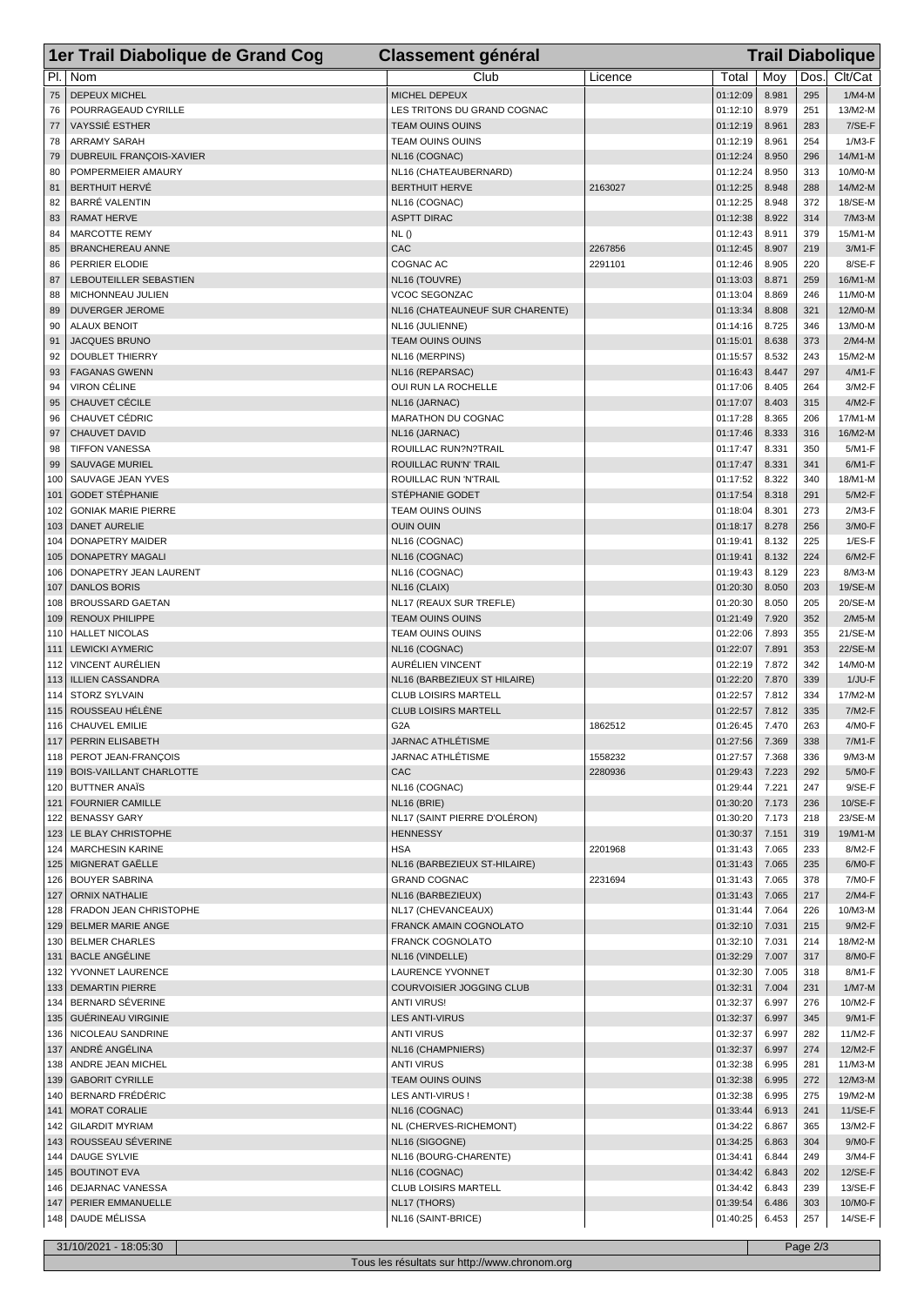|            | 1er Trail Diabolique de Grand Cog                   | <b>Classement général</b>                             |         |                      | <b>Trail Diabolique</b> |            |                     |  |  |  |
|------------|-----------------------------------------------------|-------------------------------------------------------|---------|----------------------|-------------------------|------------|---------------------|--|--|--|
| PI.        | Nom                                                 | Club                                                  | Licence | Total                | Moy                     | Dos.       | Clt/Cat             |  |  |  |
| 75         | <b>DEPEUX MICHEL</b>                                | MICHEL DEPEUX                                         |         | 01:12:09             | 8.981                   | 295        | $1/M4-M$            |  |  |  |
| 76         | POURRAGEAUD CYRILLE                                 | LES TRITONS DU GRAND COGNAC                           |         | 01:12:10             | 8.979                   | 251        | 13/M2-M             |  |  |  |
| 77         | <b>VAYSSIÉ ESTHER</b>                               | <b>TEAM OUINS OUINS</b>                               |         | 01:12:19             | 8.961                   | 283        | 7/SE-F              |  |  |  |
| 78         | <b>ARRAMY SARAH</b>                                 | <b>TEAM OUINS OUINS</b>                               |         | 01:12:19             | 8.961                   | 254        | 1/M3-F              |  |  |  |
| 79         | DUBREUIL FRANÇOIS-XAVIER                            | NL16 (COGNAC)                                         |         | 01:12:24             | 8.950                   | 296        | 14/M1-M             |  |  |  |
| 80         | POMPERMEIER AMAURY                                  | NL16 (CHATEAUBERNARD)                                 |         | 01:12:24             | 8.950                   | 313        | 10/M0-M             |  |  |  |
| 81<br>82   | <b>BERTHUIT HERVÉ</b><br><b>BARRÉ VALENTIN</b>      | <b>BERTHUIT HERVE</b><br>NL16 (COGNAC)                | 2163027 | 01:12:25<br>01:12:25 | 8.948<br>8.948          | 288<br>372 | 14/M2-M<br>18/SE-M  |  |  |  |
| 83         | <b>RAMAT HERVE</b>                                  | <b>ASPTT DIRAC</b>                                    |         | 01:12:38             | 8.922                   | 314        | $7/M3-M$            |  |  |  |
| 84         | <b>MARCOTTE REMY</b>                                | NL()                                                  |         | 01:12:43             | 8.911                   | 379        | 15/M1-M             |  |  |  |
| 85         | <b>BRANCHEREAU ANNE</b>                             | CAC                                                   | 2267856 | 01:12:45             | 8.907                   | 219        | $3/M1-F$            |  |  |  |
| 86         | PERRIER ELODIE                                      | COGNAC AC                                             | 2291101 | 01:12:46             | 8.905                   | 220        | 8/SE-F              |  |  |  |
| 87         | LEBOUTEILLER SEBASTIEN                              | NL16 (TOUVRE)                                         |         | 01:13:03             | 8.871                   | 259        | 16/M1-M             |  |  |  |
| 88         | MICHONNEAU JULIEN                                   | VCOC SEGONZAC                                         |         | 01:13:04             | 8.869                   | 246        | 11/M0-M             |  |  |  |
| 89         | <b>DUVERGER JEROME</b>                              | NL16 (CHATEAUNEUF SUR CHARENTE)                       |         | 01:13:34<br>01:14:16 | 8.808<br>8.725          | 321        | 12/M0-M             |  |  |  |
| 90<br>91   | <b>ALAUX BENOIT</b><br><b>JACQUES BRUNO</b>         | NL16 (JULIENNE)<br><b>TEAM OUINS OUINS</b>            |         | 01:15:01             | 8.638                   | 346<br>373 | 13/M0-M<br>$2/M4-M$ |  |  |  |
| 92         | <b>DOUBLET THIERRY</b>                              | NL16 (MERPINS)                                        |         | 01:15:57             | 8.532                   | 243        | 15/M2-M             |  |  |  |
| 93         | <b>FAGANAS GWENN</b>                                | NL16 (REPARSAC)                                       |         | 01:16:43             | 8.447                   | 297        | 4/M1-F              |  |  |  |
| 94         | <b>VIRON CÉLINE</b>                                 | OUI RUN LA ROCHELLE                                   |         | 01:17:06             | 8.405                   | 264        | 3/M2-F              |  |  |  |
| 95         | CHAUVET CÉCILE                                      | NL16 (JARNAC)                                         |         | 01:17:07             | 8.403                   | 315        | 4/M2-F              |  |  |  |
| 96         | <b>CHAUVET CÉDRIC</b>                               | MARATHON DU COGNAC                                    |         | 01:17:28             | 8.365                   | 206        | 17/M1-M             |  |  |  |
| 97         | CHAUVET DAVID                                       | NL16 (JARNAC)                                         |         | 01:17:46             | 8.333                   | 316        | 16/M2-M             |  |  |  |
| 98         | <b>TIFFON VANESSA</b>                               | ROUILLAC RUN?N?TRAIL                                  |         | 01:17:47             | 8.331                   | 350        | 5/M1-F              |  |  |  |
| 99         | <b>SAUVAGE MURIEL</b><br>SAUVAGE JEAN YVES          | <b>ROUILLAC RUN'N' TRAIL</b><br>ROUILLAC RUN 'N'TRAIL |         | 01:17:47<br>01:17:52 | 8.331<br>8.322          | 341<br>340 | $6/M1-F$            |  |  |  |
| 100<br>101 | <b>GODET STÉPHANIE</b>                              | STÉPHANIE GODET                                       |         | 01:17:54             | 8.318                   | 291        | 18/M1-M<br>5/M2-F   |  |  |  |
| 102        | <b>GONIAK MARIE PIERRE</b>                          | <b>TEAM OUINS OUINS</b>                               |         | 01:18:04             | 8.301                   | 273        | $2/M3-F$            |  |  |  |
| 103        | <b>DANET AURELIE</b>                                | <b>OUIN OUIN</b>                                      |         | 01:18:17             | 8.278                   | 256        | 3/M0-F              |  |  |  |
| 104        | DONAPETRY MAIDER                                    | NL16 (COGNAC)                                         |         | 01:19:41             | 8.132                   | 225        | $1/ES-F$            |  |  |  |
| 105        | <b>DONAPETRY MAGALI</b>                             | NL16 (COGNAC)                                         |         | 01:19:41             | 8.132                   | 224        | 6/M2-F              |  |  |  |
| 106        | DONAPETRY JEAN LAURENT                              | NL16 (COGNAC)                                         |         | 01:19:43             | 8.129                   | 223        | 8/M3-M              |  |  |  |
| 107        | <b>DANLOS BORIS</b>                                 | NL16 (CLAIX)                                          |         | 01:20:30             | 8.050                   | 203        | 19/SE-M             |  |  |  |
| 108        | <b>BROUSSARD GAETAN</b>                             | NL17 (REAUX SUR TREFLE)                               |         | 01:20:30<br>01:21:49 | 8.050<br>7.920          | 205<br>352 | 20/SE-M<br>$2/M5-M$ |  |  |  |
| 109<br>110 | RENOUX PHILIPPE<br><b>HALLET NICOLAS</b>            | TEAM OUINS OUINS<br>TEAM OUINS OUINS                  |         | 01:22:06             | 7.893                   | 355        | 21/SE-M             |  |  |  |
| 111        | <b>LEWICKI AYMERIC</b>                              | NL16 (COGNAC)                                         |         | 01:22:07             | 7.891                   | 353        | 22/SE-M             |  |  |  |
| 112        | <b>VINCENT AURÉLIEN</b>                             | <b>AURÉLIEN VINCENT</b>                               |         | 01:22:19             | 7.872                   | 342        | 14/M0-M             |  |  |  |
| 113        | <b>ILLIEN CASSANDRA</b>                             | NL16 (BARBEZIEUX ST HILAIRE)                          |         | 01:22:20             | 7.870                   | 339        | 1/JU-F              |  |  |  |
| 114        | <b>STORZ SYLVAIN</b>                                | <b>CLUB LOISIRS MARTELL</b>                           |         | 01:22:57             | 7.812                   | 334        | 17/M2-M             |  |  |  |
| 115        | ROUSSEAU HÉLÈNE                                     | <b>CLUB LOISIRS MARTELL</b>                           |         | 01:22:57             | 7.812                   | 335        | 7/M2-F              |  |  |  |
| 116        | CHAUVEL EMILIE                                      | G <sub>2</sub> A                                      | 1862512 | 01:26:45             | 7.470                   | 263        | 4/M0-F              |  |  |  |
|            | 117   PERRIN ELISABETH<br>PEROT JEAN-FRANÇOIS       | <b>JARNAC ATHLÉTISME</b><br>JARNAC ATHLÉTISME         | 1558232 | 01:27:56<br>01:27:57 | 7.369                   | 338        | $7/M1-F$<br>9/M3-M  |  |  |  |
| 118        | 119   BOIS-VAILLANT CHARLOTTE                       | CAC                                                   | 2280936 | 01:29:43             | 7.368<br>7.223          | 336<br>292 | 5/M0-F              |  |  |  |
|            | 120   BUTTNER ANAÏS                                 | NL16 (COGNAC)                                         |         | 01:29:44             | 7.221                   | 247        | $9/SE-F$            |  |  |  |
| 121        | <b>FOURNIER CAMILLE</b>                             | NL16 (BRIE)                                           |         | 01:30:20             | 7.173                   | 236        | 10/SE-F             |  |  |  |
| 122        | <b>BENASSY GARY</b>                                 | NL17 (SAINT PIERRE D'OLÉRON)                          |         | 01:30:20             | 7.173                   | 218        | 23/SE-M             |  |  |  |
|            | 123   LE BLAY CHRISTOPHE                            | <b>HENNESSY</b>                                       |         | 01:30:37             | 7.151                   | 319        | 19/M1-M             |  |  |  |
| 124        | <b>MARCHESIN KARINE</b>                             | <b>HSA</b>                                            | 2201968 | 01:31:43             | 7.065                   | 233        | 8/M2-F              |  |  |  |
|            | 125   MIGNERAT GAËLLE                               | NL16 (BARBEZIEUX ST-HILAIRE)                          |         | 01:31:43             | 7.065                   | 235        | 6/M0-F              |  |  |  |
| 127        | 126 BOUYER SABRINA<br><b>ORNIX NATHALIE</b>         | <b>GRAND COGNAC</b><br>NL16 (BARBEZIEUX)              | 2231694 | 01:31:43<br>01:31:43 | 7.065<br>7.065          | 378<br>217 | 7/M0-F<br>2/M4-F    |  |  |  |
|            | 128   FRADON JEAN CHRISTOPHE                        | NL17 (CHEVANCEAUX)                                    |         | 01:31:44             | 7.064                   | 226        | 10/M3-M             |  |  |  |
|            | 129 BELMER MARIE ANGE                               | <b>FRANCK AMAIN COGNOLATO</b>                         |         | 01:32:10             | 7.031                   | 215        | 9/M2-F              |  |  |  |
|            | 130 BELMER CHARLES                                  | FRANCK COGNOLATO                                      |         | 01:32:10             | 7.031                   | 214        | 18/M2-M             |  |  |  |
|            | 131   BACLE ANGÉLINE                                | NL16 (VINDELLE)                                       |         | 01:32:29             | 7.007                   | 317        | 8/M0-F              |  |  |  |
| 132        | YVONNET LAURENCE                                    | <b>LAURENCE YVONNET</b>                               |         | 01:32:30             | 7.005                   | 318        | 8/M1-F              |  |  |  |
|            | 133   DEMARTIN PIERRE                               | COURVOISIER JOGGING CLUB                              |         | 01:32:31             | 7.004                   | 231        | $1/M7-M$            |  |  |  |
|            | 134   BERNARD SÉVERINE                              | <b>ANTI VIRUS!</b>                                    |         | 01:32:37             | 6.997                   | 276        | 10/M2-F             |  |  |  |
|            | 135   GUÉRINEAU VIRGINIE<br>136   NICOLEAU SANDRINE | <b>LES ANTI-VIRUS</b><br><b>ANTI VIRUS</b>            |         | 01:32:37<br>01:32:37 | 6.997<br>6.997          | 345<br>282 | 9/M1-F<br>11/M2-F   |  |  |  |
|            | 137 ANDRÉ ANGÉLINA                                  | NL16 (CHAMPNIERS)                                     |         | 01:32:37             | 6.997                   | 274        | 12/M2-F             |  |  |  |
| 138        | ANDRE JEAN MICHEL                                   | <b>ANTI VIRUS</b>                                     |         | 01:32:38             | 6.995                   | 281        | 11/M3-M             |  |  |  |
|            | 139   GABORIT CYRILLE                               | <b>TEAM OUINS OUINS</b>                               |         | 01:32:38             | 6.995                   | 272        | 12/M3-M             |  |  |  |
|            | 140 BERNARD FRÉDÉRIC                                | LES ANTI-VIRUS!                                       |         | 01:32:38             | 6.995                   | 275        | 19/M2-M             |  |  |  |
| 141        | <b>MORAT CORALIE</b>                                | NL16 (COGNAC)                                         |         | 01:33:44             | 6.913                   | 241        | $11/SE-F$           |  |  |  |
|            | 142   GILARDIT MYRIAM                               | NL (CHERVES-RICHEMONT)                                |         | 01:34:22             | 6.867                   | 365        | 13/M2-F             |  |  |  |
|            | 143   ROUSSEAU SÉVERINE                             | NL16 (SIGOGNE)                                        |         | 01:34:25             | 6.863                   | 304        | 9/M0-F              |  |  |  |
| 144        | <b>DAUGE SYLVIE</b>                                 | NL16 (BOURG-CHARENTE)                                 |         | 01:34:41             | 6.844                   | 249        | 3/M4-F              |  |  |  |
|            | 145   BOUTINOT EVA<br>146   DEJARNAC VANESSA        | NL16 (COGNAC)<br><b>CLUB LOISIRS MARTELL</b>          |         | 01:34:42<br>01:34:42 | 6.843<br>6.843          | 202<br>239 | 12/SE-F<br>13/SE-F  |  |  |  |
| 147        | PERIER EMMANUELLE                                   | NL17 (THORS)                                          |         | 01:39:54             | 6.486                   | 303        | 10/M0-F             |  |  |  |
|            | 148 DAUDE MÉLISSA                                   | NL16 (SAINT-BRICE)                                    |         | 01:40:25             | 6.453                   | 257        | 14/SE-F             |  |  |  |
|            |                                                     |                                                       |         |                      |                         |            |                     |  |  |  |
|            | 31/10/2021 - 18:05:30                               |                                                       |         |                      |                         | Page 2/3   |                     |  |  |  |